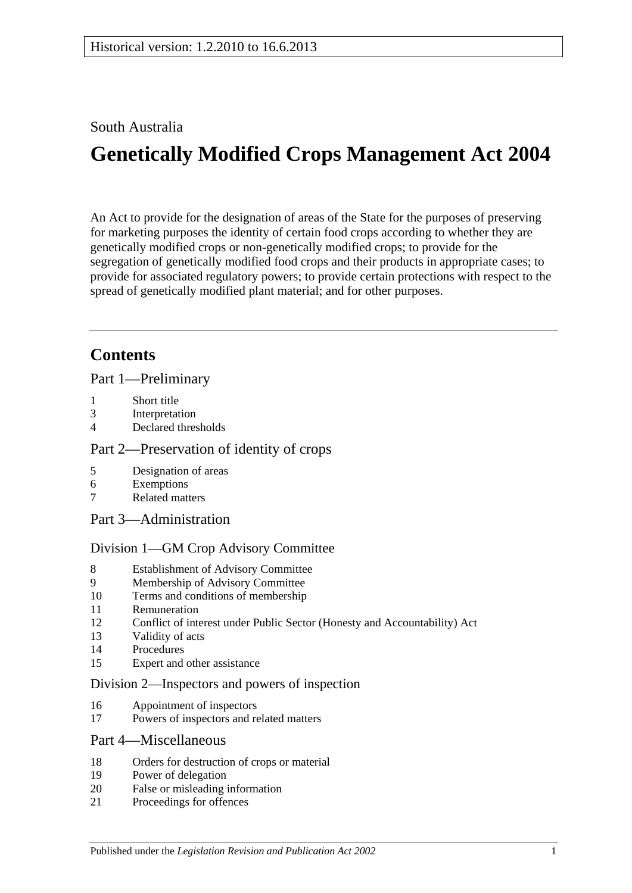# South Australia

# **Genetically Modified Crops Management Act 2004**

An Act to provide for the designation of areas of the State for the purposes of preserving for marketing purposes the identity of certain food crops according to whether they are genetically modified crops or non-genetically modified crops; to provide for the segregation of genetically modified food crops and their products in appropriate cases; to provide for associated regulatory powers; to provide certain protections with respect to the spread of genetically modified plant material; and for other purposes.

# **Contents**

[Part 1—Preliminary](#page-1-0)

- 1 [Short title](#page-1-1)
- 3 [Interpretation](#page-1-2)
- 4 [Declared thresholds](#page-3-0)

#### [Part 2—Preservation of identity of crops](#page-3-1)

- 5 [Designation of areas](#page-3-2)
- 6 [Exemptions](#page-5-0)
- 7 [Related matters](#page-6-0)
- [Part 3—Administration](#page-6-1)

#### [Division 1—GM Crop Advisory Committee](#page-6-2)

- 8 [Establishment of Advisory Committee](#page-6-3)
- 9 [Membership of Advisory Committee](#page-6-4)
- 10 [Terms and conditions of membership](#page-7-0)
- 11 [Remuneration](#page-7-1)
- 12 [Conflict of interest under Public Sector \(Honesty and Accountability\) Act](#page-7-2)
- 13 [Validity of acts](#page-8-0)
- 14 [Procedures](#page-8-1)
- 15 [Expert and other assistance](#page-8-2)

#### [Division 2—Inspectors and powers of inspection](#page-9-0)

- 16 [Appointment of inspectors](#page-9-1)
- 17 [Powers of inspectors and related matters](#page-9-2)

#### [Part 4—Miscellaneous](#page-9-3)

- 18 [Orders for destruction of crops or material](#page-9-4)
- 19 [Power of delegation](#page-10-0)
- 20 [False or misleading information](#page-10-1)
- 21 [Proceedings for offences](#page-10-2)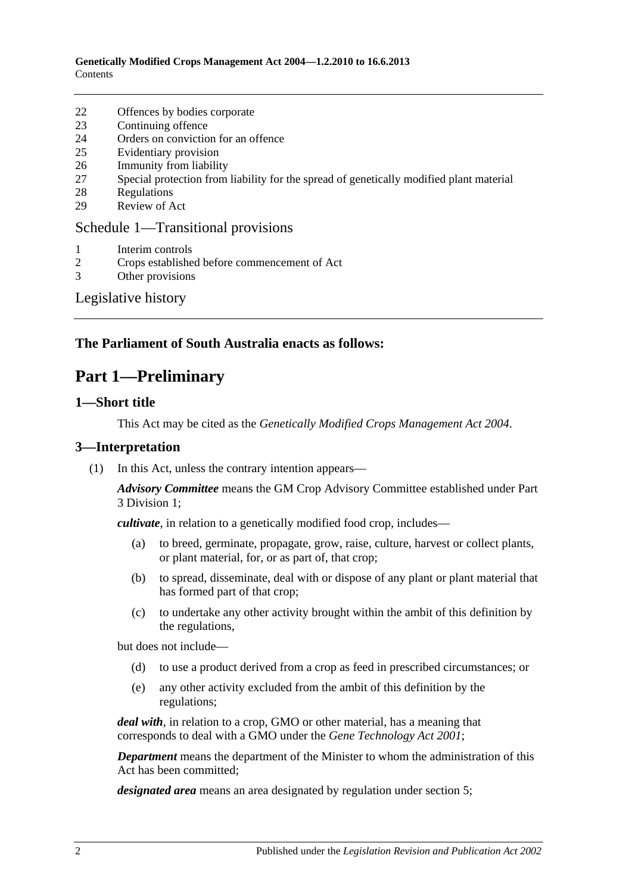- 22 [Offences by bodies corporate](#page-11-0)
- 23 [Continuing offence](#page-11-1)
- 24 [Orders on conviction for an offence](#page-11-2)
- 25 [Evidentiary provision](#page-12-0)
- 26 [Immunity from liability](#page-12-1)
- 27 [Special protection from liability for the spread of genetically modified plant material](#page-13-0)
- 28 [Regulations](#page-13-1)
- 29 [Review of Act](#page-14-0)

#### [Schedule 1—Transitional provisions](#page-14-1)

- 1 [Interim controls](#page-14-2)
- 2 [Crops established before commencement of Act](#page-15-0)
- 3 [Other provisions](#page-15-1)

#### [Legislative history](#page-16-0)

### <span id="page-1-0"></span>**The Parliament of South Australia enacts as follows:**

# **Part 1—Preliminary**

#### <span id="page-1-1"></span>**1—Short title**

This Act may be cited as the *Genetically Modified Crops Management Act 2004*.

#### <span id="page-1-2"></span>**3—Interpretation**

(1) In this Act, unless the contrary intention appears—

*Advisory Committee* means the GM Crop Advisory Committee established under [Part](#page-6-2)  [3 Division 1;](#page-6-2)

*cultivate*, in relation to a genetically modified food crop, includes—

- (a) to breed, germinate, propagate, grow, raise, culture, harvest or collect plants, or plant material, for, or as part of, that crop;
- (b) to spread, disseminate, deal with or dispose of any plant or plant material that has formed part of that crop;
- (c) to undertake any other activity brought within the ambit of this definition by the regulations,

but does not include—

- (d) to use a product derived from a crop as feed in prescribed circumstances; or
- (e) any other activity excluded from the ambit of this definition by the regulations;

*deal with*, in relation to a crop, GMO or other material, has a meaning that corresponds to deal with a GMO under the *[Gene Technology Act](http://www.legislation.sa.gov.au/index.aspx?action=legref&type=act&legtitle=Gene%20Technology%20Act%202001) 2001*;

*Department* means the department of the Minister to whom the administration of this Act has been committed;

*designated area* means an area designated by regulation under [section](#page-3-2) 5;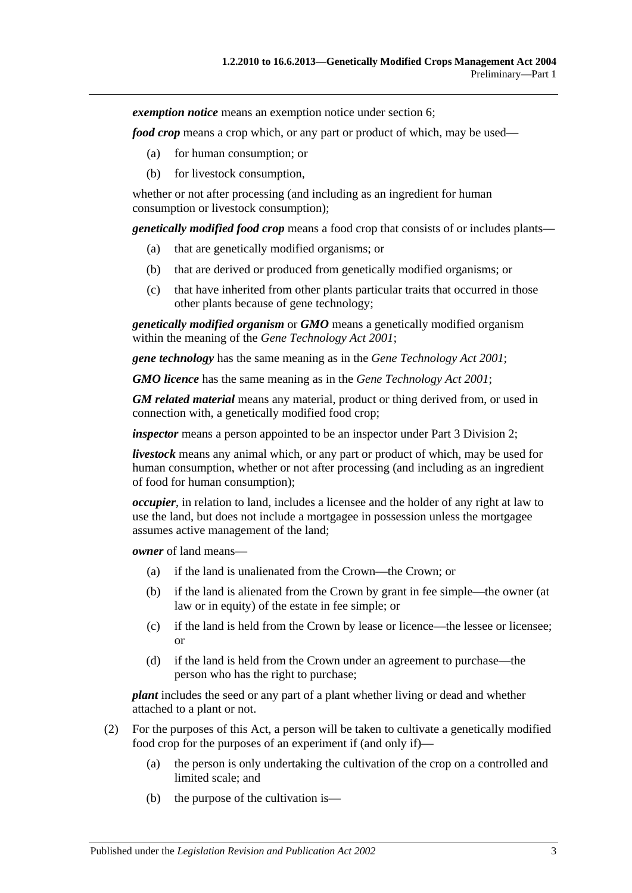*exemption notice* means an exemption notice under [section](#page-5-0) 6;

*food crop* means a crop which, or any part or product of which, may be used—

- (a) for human consumption; or
- (b) for livestock consumption,

whether or not after processing (and including as an ingredient for human consumption or livestock consumption);

*genetically modified food crop* means a food crop that consists of or includes plants—

- (a) that are genetically modified organisms; or
- (b) that are derived or produced from genetically modified organisms; or
- (c) that have inherited from other plants particular traits that occurred in those other plants because of gene technology;

*genetically modified organism* or *GMO* means a genetically modified organism within the meaning of the *[Gene Technology Act](http://www.legislation.sa.gov.au/index.aspx?action=legref&type=act&legtitle=Gene%20Technology%20Act%202001) 2001*;

*gene technology* has the same meaning as in the *[Gene Technology Act](http://www.legislation.sa.gov.au/index.aspx?action=legref&type=act&legtitle=Gene%20Technology%20Act%202001) 2001*;

*GMO licence* has the same meaning as in the *[Gene Technology Act](http://www.legislation.sa.gov.au/index.aspx?action=legref&type=act&legtitle=Gene%20Technology%20Act%202001) 2001*;

*GM related material* means any material, product or thing derived from, or used in connection with, a genetically modified food crop;

*inspector* means a person appointed to be an inspector under [Part 3 Division 2;](#page-9-0)

*livestock* means any animal which, or any part or product of which, may be used for human consumption, whether or not after processing (and including as an ingredient of food for human consumption);

*occupier*, in relation to land, includes a licensee and the holder of any right at law to use the land, but does not include a mortgagee in possession unless the mortgagee assumes active management of the land;

*owner* of land means—

- (a) if the land is unalienated from the Crown—the Crown; or
- (b) if the land is alienated from the Crown by grant in fee simple—the owner (at law or in equity) of the estate in fee simple; or
- (c) if the land is held from the Crown by lease or licence—the lessee or licensee; or
- (d) if the land is held from the Crown under an agreement to purchase—the person who has the right to purchase;

*plant* includes the seed or any part of a plant whether living or dead and whether attached to a plant or not.

- (2) For the purposes of this Act, a person will be taken to cultivate a genetically modified food crop for the purposes of an experiment if (and only if)—
	- (a) the person is only undertaking the cultivation of the crop on a controlled and limited scale; and
	- (b) the purpose of the cultivation is—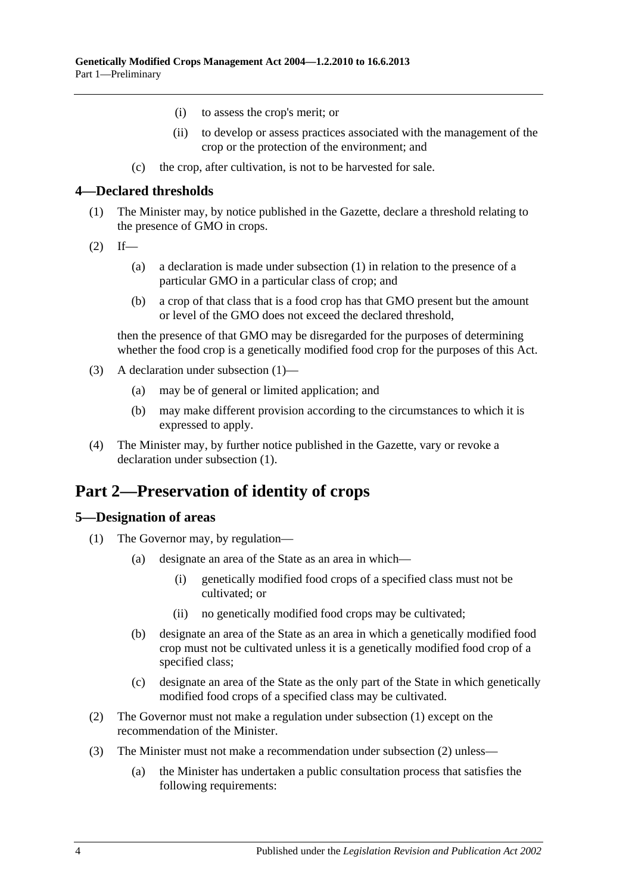- (i) to assess the crop's merit; or
- (ii) to develop or assess practices associated with the management of the crop or the protection of the environment; and
- (c) the crop, after cultivation, is not to be harvested for sale.

#### <span id="page-3-3"></span><span id="page-3-0"></span>**4—Declared thresholds**

- (1) The Minister may, by notice published in the Gazette, declare a threshold relating to the presence of GMO in crops.
- $(2)$  If—
	- (a) a declaration is made under subsection (1) in relation to the presence of a particular GMO in a particular class of crop; and
	- (b) a crop of that class that is a food crop has that GMO present but the amount or level of the GMO does not exceed the declared threshold,

then the presence of that GMO may be disregarded for the purposes of determining whether the food crop is a genetically modified food crop for the purposes of this Act.

- (3) A declaration under [subsection](#page-3-3) (1)—
	- (a) may be of general or limited application; and
	- (b) may make different provision according to the circumstances to which it is expressed to apply.
- (4) The Minister may, by further notice published in the Gazette, vary or revoke a declaration under [subsection](#page-3-3) (1).

# <span id="page-3-1"></span>**Part 2—Preservation of identity of crops**

#### <span id="page-3-4"></span><span id="page-3-2"></span>**5—Designation of areas**

- <span id="page-3-6"></span>(1) The Governor may, by regulation—
	- (a) designate an area of the State as an area in which—
		- (i) genetically modified food crops of a specified class must not be cultivated; or
		- (ii) no genetically modified food crops may be cultivated;
	- (b) designate an area of the State as an area in which a genetically modified food crop must not be cultivated unless it is a genetically modified food crop of a specified class;
	- (c) designate an area of the State as the only part of the State in which genetically modified food crops of a specified class may be cultivated.
- <span id="page-3-7"></span><span id="page-3-5"></span>(2) The Governor must not make a regulation under [subsection](#page-3-4) (1) except on the recommendation of the Minister.
- <span id="page-3-8"></span>(3) The Minister must not make a recommendation under [subsection](#page-3-5) (2) unless—
	- (a) the Minister has undertaken a public consultation process that satisfies the following requirements: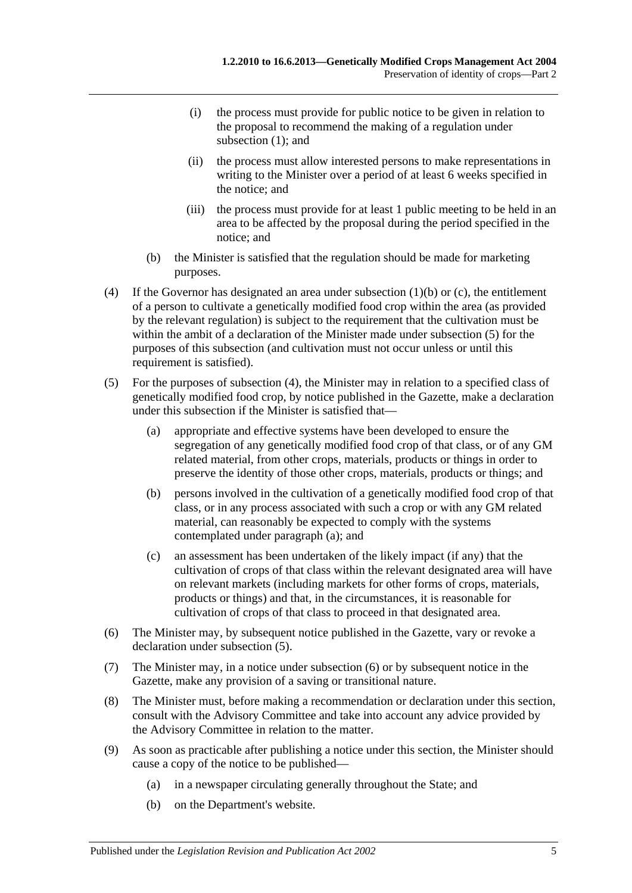- (i) the process must provide for public notice to be given in relation to the proposal to recommend the making of a regulation under [subsection](#page-3-4) (1); and
- (ii) the process must allow interested persons to make representations in writing to the Minister over a period of at least 6 weeks specified in the notice; and
- (iii) the process must provide for at least 1 public meeting to be held in an area to be affected by the proposal during the period specified in the notice; and
- (b) the Minister is satisfied that the regulation should be made for marketing purposes.
- <span id="page-4-1"></span>(4) If the Governor has designated an area under [subsection](#page-3-6) (1)(b) or [\(c\),](#page-3-7) the entitlement of a person to cultivate a genetically modified food crop within the area (as provided by the relevant regulation) is subject to the requirement that the cultivation must be within the ambit of a declaration of the Minister made under [subsection](#page-4-0) (5) for the purposes of this subsection (and cultivation must not occur unless or until this requirement is satisfied).
- <span id="page-4-2"></span><span id="page-4-0"></span>(5) For the purposes of [subsection](#page-4-1) (4), the Minister may in relation to a specified class of genetically modified food crop, by notice published in the Gazette, make a declaration under this subsection if the Minister is satisfied that—
	- (a) appropriate and effective systems have been developed to ensure the segregation of any genetically modified food crop of that class, or of any GM related material, from other crops, materials, products or things in order to preserve the identity of those other crops, materials, products or things; and
	- (b) persons involved in the cultivation of a genetically modified food crop of that class, or in any process associated with such a crop or with any GM related material, can reasonably be expected to comply with the systems contemplated under [paragraph](#page-4-2) (a); and
	- (c) an assessment has been undertaken of the likely impact (if any) that the cultivation of crops of that class within the relevant designated area will have on relevant markets (including markets for other forms of crops, materials, products or things) and that, in the circumstances, it is reasonable for cultivation of crops of that class to proceed in that designated area.
- <span id="page-4-3"></span>(6) The Minister may, by subsequent notice published in the Gazette, vary or revoke a declaration under [subsection](#page-4-0) (5).
- (7) The Minister may, in a notice under [subsection](#page-4-3) (6) or by subsequent notice in the Gazette, make any provision of a saving or transitional nature.
- (8) The Minister must, before making a recommendation or declaration under this section, consult with the Advisory Committee and take into account any advice provided by the Advisory Committee in relation to the matter.
- (9) As soon as practicable after publishing a notice under this section, the Minister should cause a copy of the notice to be published—
	- (a) in a newspaper circulating generally throughout the State; and
	- (b) on the Department's website.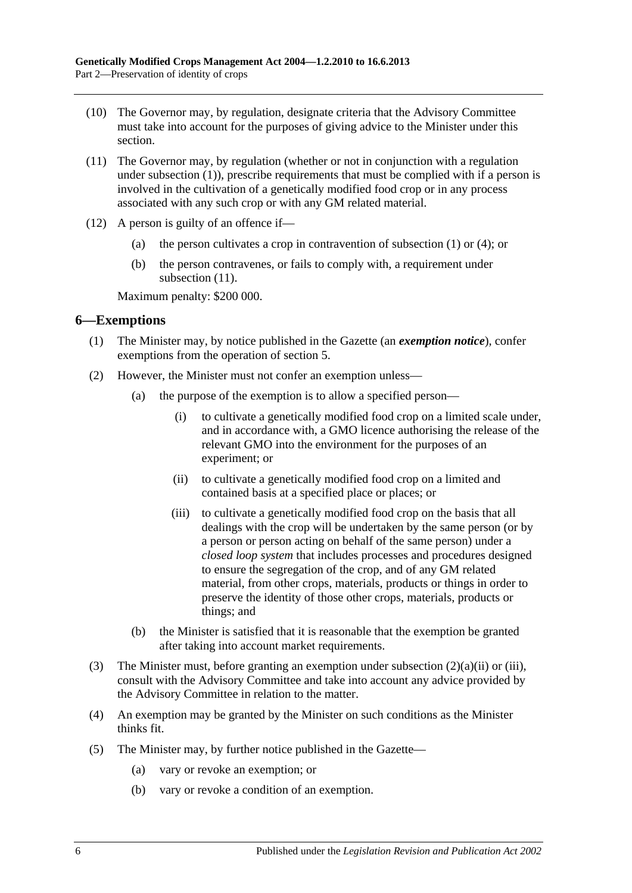- (10) The Governor may, by regulation, designate criteria that the Advisory Committee must take into account for the purposes of giving advice to the Minister under this section.
- <span id="page-5-1"></span>(11) The Governor may, by regulation (whether or not in conjunction with a regulation under [subsection](#page-3-4) (1)), prescribe requirements that must be complied with if a person is involved in the cultivation of a genetically modified food crop or in any process associated with any such crop or with any GM related material.
- (12) A person is guilty of an offence if—
	- (a) the person cultivates a crop in contravention of [subsection](#page-3-4) (1) or [\(4\);](#page-4-1) or
	- (b) the person contravenes, or fails to comply with, a requirement under [subsection](#page-5-1)  $(11)$ .

Maximum penalty: \$200 000.

#### <span id="page-5-0"></span>**6—Exemptions**

- (1) The Minister may, by notice published in the Gazette (an *exemption notice*), confer exemptions from the operation of [section](#page-3-2) 5.
- <span id="page-5-3"></span><span id="page-5-2"></span>(2) However, the Minister must not confer an exemption unless—
	- (a) the purpose of the exemption is to allow a specified person—
		- (i) to cultivate a genetically modified food crop on a limited scale under, and in accordance with, a GMO licence authorising the release of the relevant GMO into the environment for the purposes of an experiment; or
		- (ii) to cultivate a genetically modified food crop on a limited and contained basis at a specified place or places; or
		- (iii) to cultivate a genetically modified food crop on the basis that all dealings with the crop will be undertaken by the same person (or by a person or person acting on behalf of the same person) under a *closed loop system* that includes processes and procedures designed to ensure the segregation of the crop, and of any GM related material, from other crops, materials, products or things in order to preserve the identity of those other crops, materials, products or things; and
	- (b) the Minister is satisfied that it is reasonable that the exemption be granted after taking into account market requirements.
- (3) The Minister must, before granting an exemption under [subsection](#page-5-2) (2)(a)(ii) or [\(iii\),](#page-5-3) consult with the Advisory Committee and take into account any advice provided by the Advisory Committee in relation to the matter.
- (4) An exemption may be granted by the Minister on such conditions as the Minister thinks fit.
- (5) The Minister may, by further notice published in the Gazette—
	- (a) vary or revoke an exemption; or
	- (b) vary or revoke a condition of an exemption.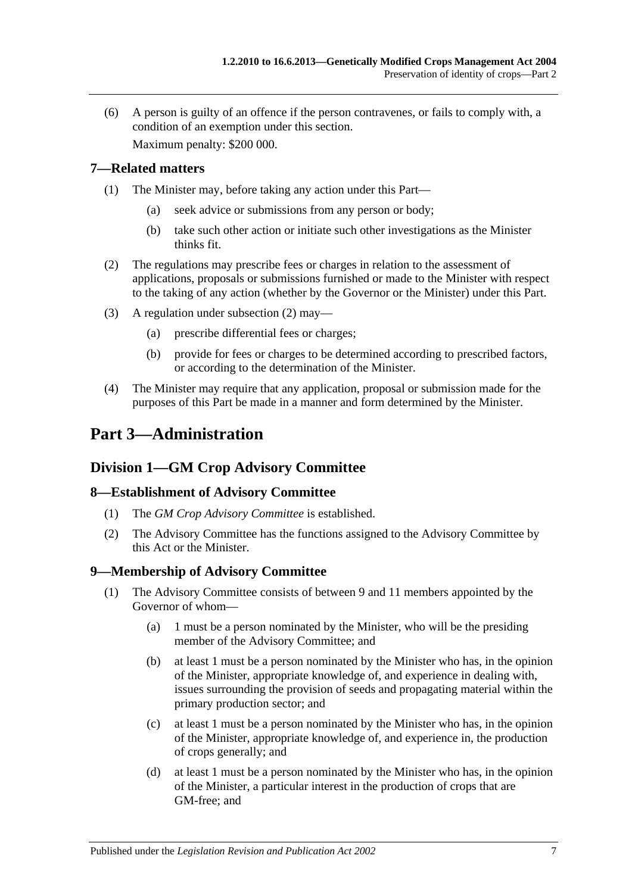(6) A person is guilty of an offence if the person contravenes, or fails to comply with, a condition of an exemption under this section.

Maximum penalty: \$200 000.

### <span id="page-6-0"></span>**7—Related matters**

- (1) The Minister may, before taking any action under this Part—
	- (a) seek advice or submissions from any person or body;
	- (b) take such other action or initiate such other investigations as the Minister thinks fit.
- <span id="page-6-5"></span>(2) The regulations may prescribe fees or charges in relation to the assessment of applications, proposals or submissions furnished or made to the Minister with respect to the taking of any action (whether by the Governor or the Minister) under this Part.
- (3) A regulation under [subsection](#page-6-5) (2) may—
	- (a) prescribe differential fees or charges;
	- (b) provide for fees or charges to be determined according to prescribed factors, or according to the determination of the Minister.
- (4) The Minister may require that any application, proposal or submission made for the purposes of this Part be made in a manner and form determined by the Minister.

# <span id="page-6-1"></span>**Part 3—Administration**

# <span id="page-6-2"></span>**Division 1—GM Crop Advisory Committee**

## <span id="page-6-3"></span>**8—Establishment of Advisory Committee**

- (1) The *GM Crop Advisory Committee* is established.
- (2) The Advisory Committee has the functions assigned to the Advisory Committee by this Act or the Minister.

## <span id="page-6-4"></span>**9—Membership of Advisory Committee**

- (1) The Advisory Committee consists of between 9 and 11 members appointed by the Governor of whom—
	- (a) 1 must be a person nominated by the Minister, who will be the presiding member of the Advisory Committee; and
	- (b) at least 1 must be a person nominated by the Minister who has, in the opinion of the Minister, appropriate knowledge of, and experience in dealing with, issues surrounding the provision of seeds and propagating material within the primary production sector; and
	- (c) at least 1 must be a person nominated by the Minister who has, in the opinion of the Minister, appropriate knowledge of, and experience in, the production of crops generally; and
	- (d) at least 1 must be a person nominated by the Minister who has, in the opinion of the Minister, a particular interest in the production of crops that are GM-free; and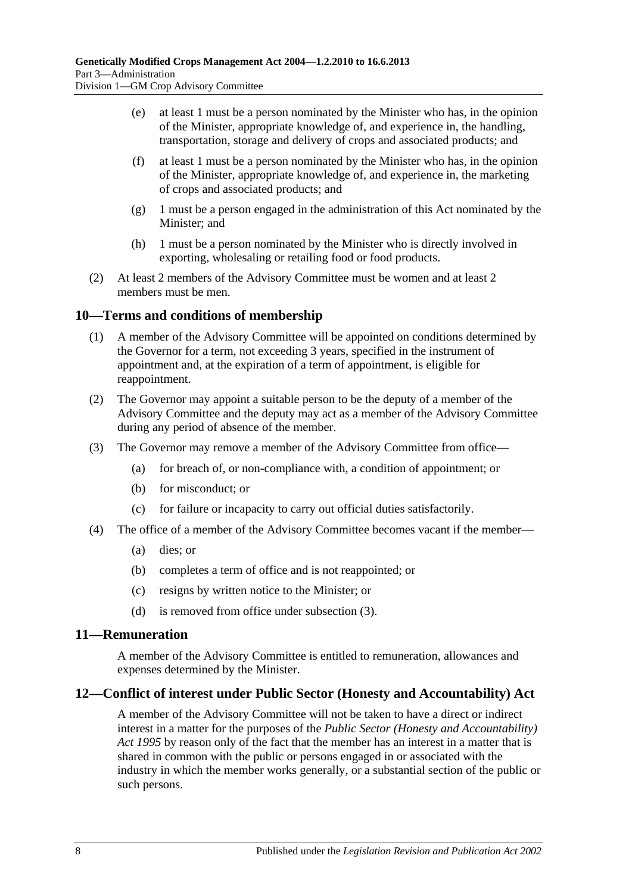- (e) at least 1 must be a person nominated by the Minister who has, in the opinion of the Minister, appropriate knowledge of, and experience in, the handling, transportation, storage and delivery of crops and associated products; and
- (f) at least 1 must be a person nominated by the Minister who has, in the opinion of the Minister, appropriate knowledge of, and experience in, the marketing of crops and associated products; and
- (g) 1 must be a person engaged in the administration of this Act nominated by the Minister; and
- (h) 1 must be a person nominated by the Minister who is directly involved in exporting, wholesaling or retailing food or food products.
- (2) At least 2 members of the Advisory Committee must be women and at least 2 members must be men.

#### <span id="page-7-0"></span>**10—Terms and conditions of membership**

- (1) A member of the Advisory Committee will be appointed on conditions determined by the Governor for a term, not exceeding 3 years, specified in the instrument of appointment and, at the expiration of a term of appointment, is eligible for reappointment.
- (2) The Governor may appoint a suitable person to be the deputy of a member of the Advisory Committee and the deputy may act as a member of the Advisory Committee during any period of absence of the member.
- <span id="page-7-3"></span>(3) The Governor may remove a member of the Advisory Committee from office—
	- (a) for breach of, or non-compliance with, a condition of appointment; or
	- (b) for misconduct; or
	- (c) for failure or incapacity to carry out official duties satisfactorily.
- (4) The office of a member of the Advisory Committee becomes vacant if the member—
	- (a) dies; or
	- (b) completes a term of office and is not reappointed; or
	- (c) resigns by written notice to the Minister; or
	- (d) is removed from office under [subsection](#page-7-3) (3).

#### <span id="page-7-1"></span>**11—Remuneration**

A member of the Advisory Committee is entitled to remuneration, allowances and expenses determined by the Minister.

#### <span id="page-7-2"></span>**12—Conflict of interest under Public Sector (Honesty and Accountability) Act**

A member of the Advisory Committee will not be taken to have a direct or indirect interest in a matter for the purposes of the *[Public Sector \(Honesty and Accountability\)](http://www.legislation.sa.gov.au/index.aspx?action=legref&type=act&legtitle=Public%20Sector%20(Honesty%20and%20Accountability)%20Act%201995)  Act [1995](http://www.legislation.sa.gov.au/index.aspx?action=legref&type=act&legtitle=Public%20Sector%20(Honesty%20and%20Accountability)%20Act%201995)* by reason only of the fact that the member has an interest in a matter that is shared in common with the public or persons engaged in or associated with the industry in which the member works generally, or a substantial section of the public or such persons.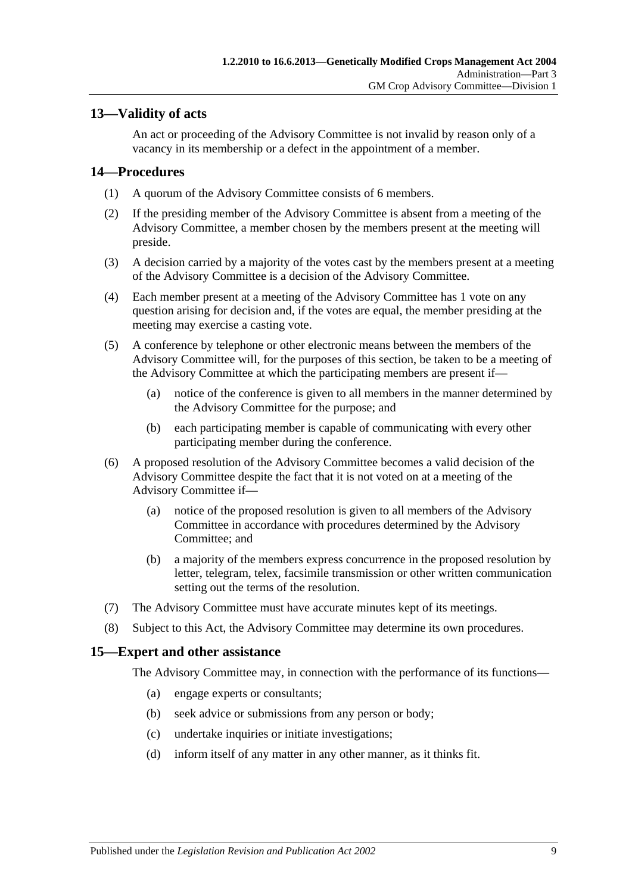### <span id="page-8-0"></span>**13—Validity of acts**

An act or proceeding of the Advisory Committee is not invalid by reason only of a vacancy in its membership or a defect in the appointment of a member.

#### <span id="page-8-1"></span>**14—Procedures**

- (1) A quorum of the Advisory Committee consists of 6 members.
- (2) If the presiding member of the Advisory Committee is absent from a meeting of the Advisory Committee, a member chosen by the members present at the meeting will preside.
- (3) A decision carried by a majority of the votes cast by the members present at a meeting of the Advisory Committee is a decision of the Advisory Committee.
- (4) Each member present at a meeting of the Advisory Committee has 1 vote on any question arising for decision and, if the votes are equal, the member presiding at the meeting may exercise a casting vote.
- (5) A conference by telephone or other electronic means between the members of the Advisory Committee will, for the purposes of this section, be taken to be a meeting of the Advisory Committee at which the participating members are present if—
	- (a) notice of the conference is given to all members in the manner determined by the Advisory Committee for the purpose; and
	- (b) each participating member is capable of communicating with every other participating member during the conference.
- (6) A proposed resolution of the Advisory Committee becomes a valid decision of the Advisory Committee despite the fact that it is not voted on at a meeting of the Advisory Committee if—
	- (a) notice of the proposed resolution is given to all members of the Advisory Committee in accordance with procedures determined by the Advisory Committee; and
	- (b) a majority of the members express concurrence in the proposed resolution by letter, telegram, telex, facsimile transmission or other written communication setting out the terms of the resolution.
- (7) The Advisory Committee must have accurate minutes kept of its meetings.
- (8) Subject to this Act, the Advisory Committee may determine its own procedures.

#### <span id="page-8-2"></span>**15—Expert and other assistance**

The Advisory Committee may, in connection with the performance of its functions—

- (a) engage experts or consultants;
- (b) seek advice or submissions from any person or body;
- (c) undertake inquiries or initiate investigations;
- (d) inform itself of any matter in any other manner, as it thinks fit.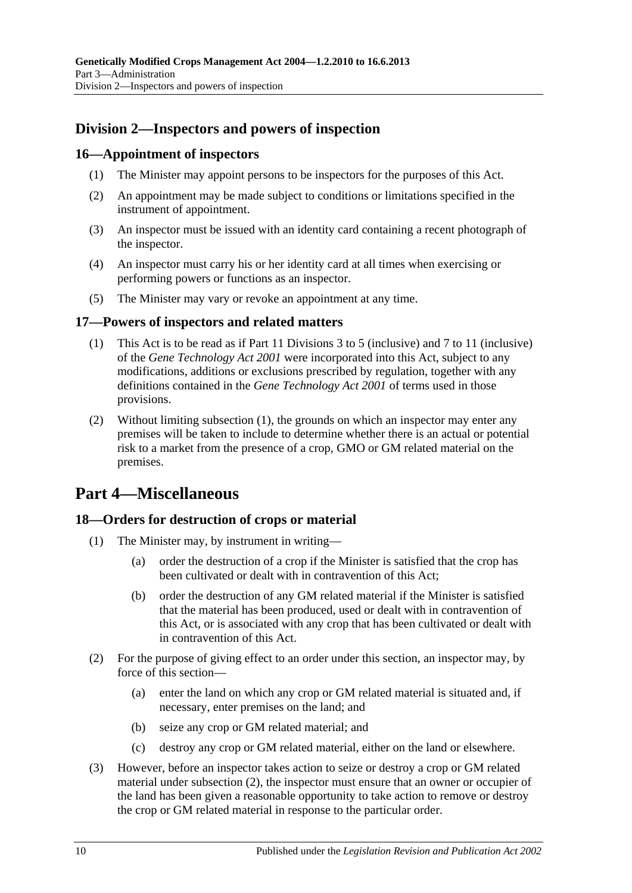# <span id="page-9-0"></span>**Division 2—Inspectors and powers of inspection**

#### <span id="page-9-1"></span>**16—Appointment of inspectors**

- (1) The Minister may appoint persons to be inspectors for the purposes of this Act.
- (2) An appointment may be made subject to conditions or limitations specified in the instrument of appointment.
- (3) An inspector must be issued with an identity card containing a recent photograph of the inspector.
- (4) An inspector must carry his or her identity card at all times when exercising or performing powers or functions as an inspector.
- (5) The Minister may vary or revoke an appointment at any time.

#### <span id="page-9-5"></span><span id="page-9-2"></span>**17—Powers of inspectors and related matters**

- (1) This Act is to be read as if Part 11 Divisions 3 to 5 (inclusive) and 7 to 11 (inclusive) of the *[Gene Technology Act](http://www.legislation.sa.gov.au/index.aspx?action=legref&type=act&legtitle=Gene%20Technology%20Act%202001) 2001* were incorporated into this Act, subject to any modifications, additions or exclusions prescribed by regulation, together with any definitions contained in the *[Gene Technology Act](http://www.legislation.sa.gov.au/index.aspx?action=legref&type=act&legtitle=Gene%20Technology%20Act%202001) 2001* of terms used in those provisions.
- (2) Without limiting [subsection](#page-9-5) (1), the grounds on which an inspector may enter any premises will be taken to include to determine whether there is an actual or potential risk to a market from the presence of a crop, GMO or GM related material on the premises.

# <span id="page-9-3"></span>**Part 4—Miscellaneous**

#### <span id="page-9-4"></span>**18—Orders for destruction of crops or material**

- (1) The Minister may, by instrument in writing—
	- (a) order the destruction of a crop if the Minister is satisfied that the crop has been cultivated or dealt with in contravention of this Act;
	- (b) order the destruction of any GM related material if the Minister is satisfied that the material has been produced, used or dealt with in contravention of this Act, or is associated with any crop that has been cultivated or dealt with in contravention of this Act.
- <span id="page-9-6"></span>(2) For the purpose of giving effect to an order under this section, an inspector may, by force of this section—
	- (a) enter the land on which any crop or GM related material is situated and, if necessary, enter premises on the land; and
	- (b) seize any crop or GM related material; and
	- (c) destroy any crop or GM related material, either on the land or elsewhere.
- (3) However, before an inspector takes action to seize or destroy a crop or GM related material under [subsection](#page-9-6) (2), the inspector must ensure that an owner or occupier of the land has been given a reasonable opportunity to take action to remove or destroy the crop or GM related material in response to the particular order.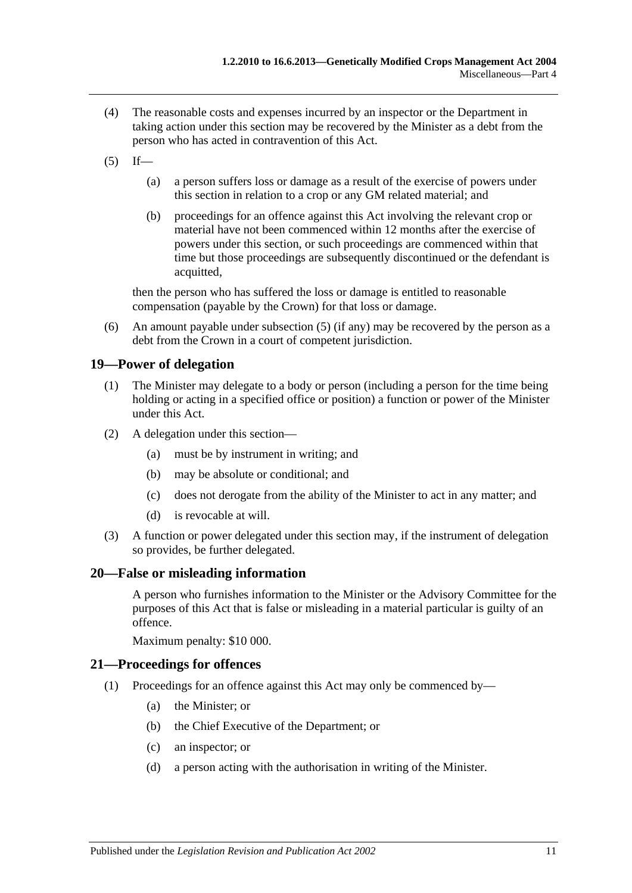- (4) The reasonable costs and expenses incurred by an inspector or the Department in taking action under this section may be recovered by the Minister as a debt from the person who has acted in contravention of this Act.
- <span id="page-10-3"></span> $(5)$  If—
	- (a) a person suffers loss or damage as a result of the exercise of powers under this section in relation to a crop or any GM related material; and
	- (b) proceedings for an offence against this Act involving the relevant crop or material have not been commenced within 12 months after the exercise of powers under this section, or such proceedings are commenced within that time but those proceedings are subsequently discontinued or the defendant is acquitted,

then the person who has suffered the loss or damage is entitled to reasonable compensation (payable by the Crown) for that loss or damage.

(6) An amount payable under [subsection](#page-10-3) (5) (if any) may be recovered by the person as a debt from the Crown in a court of competent jurisdiction.

#### <span id="page-10-0"></span>**19—Power of delegation**

- (1) The Minister may delegate to a body or person (including a person for the time being holding or acting in a specified office or position) a function or power of the Minister under this Act.
- (2) A delegation under this section—
	- (a) must be by instrument in writing; and
	- (b) may be absolute or conditional; and
	- (c) does not derogate from the ability of the Minister to act in any matter; and
	- (d) is revocable at will.
- (3) A function or power delegated under this section may, if the instrument of delegation so provides, be further delegated.

#### <span id="page-10-1"></span>**20—False or misleading information**

A person who furnishes information to the Minister or the Advisory Committee for the purposes of this Act that is false or misleading in a material particular is guilty of an offence.

Maximum penalty: \$10 000.

#### <span id="page-10-2"></span>**21—Proceedings for offences**

- (1) Proceedings for an offence against this Act may only be commenced by—
	- (a) the Minister; or
	- (b) the Chief Executive of the Department; or
	- (c) an inspector; or
	- (d) a person acting with the authorisation in writing of the Minister.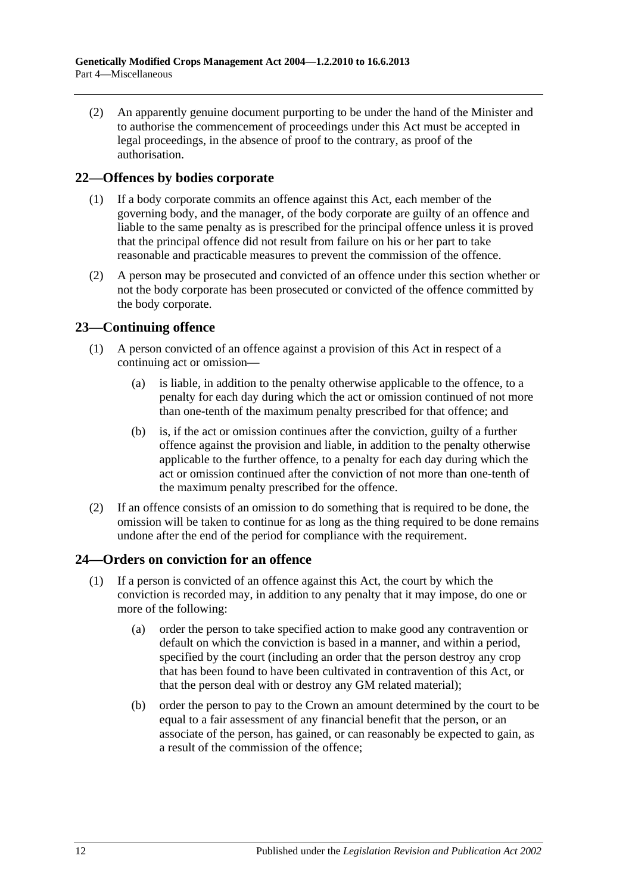(2) An apparently genuine document purporting to be under the hand of the Minister and to authorise the commencement of proceedings under this Act must be accepted in legal proceedings, in the absence of proof to the contrary, as proof of the authorisation.

#### <span id="page-11-0"></span>**22—Offences by bodies corporate**

- (1) If a body corporate commits an offence against this Act, each member of the governing body, and the manager, of the body corporate are guilty of an offence and liable to the same penalty as is prescribed for the principal offence unless it is proved that the principal offence did not result from failure on his or her part to take reasonable and practicable measures to prevent the commission of the offence.
- (2) A person may be prosecuted and convicted of an offence under this section whether or not the body corporate has been prosecuted or convicted of the offence committed by the body corporate.

## <span id="page-11-1"></span>**23—Continuing offence**

- (1) A person convicted of an offence against a provision of this Act in respect of a continuing act or omission—
	- (a) is liable, in addition to the penalty otherwise applicable to the offence, to a penalty for each day during which the act or omission continued of not more than one-tenth of the maximum penalty prescribed for that offence; and
	- (b) is, if the act or omission continues after the conviction, guilty of a further offence against the provision and liable, in addition to the penalty otherwise applicable to the further offence, to a penalty for each day during which the act or omission continued after the conviction of not more than one-tenth of the maximum penalty prescribed for the offence.
- (2) If an offence consists of an omission to do something that is required to be done, the omission will be taken to continue for as long as the thing required to be done remains undone after the end of the period for compliance with the requirement.

## <span id="page-11-2"></span>**24—Orders on conviction for an offence**

- <span id="page-11-3"></span>(1) If a person is convicted of an offence against this Act, the court by which the conviction is recorded may, in addition to any penalty that it may impose, do one or more of the following:
	- (a) order the person to take specified action to make good any contravention or default on which the conviction is based in a manner, and within a period, specified by the court (including an order that the person destroy any crop that has been found to have been cultivated in contravention of this Act, or that the person deal with or destroy any GM related material);
	- (b) order the person to pay to the Crown an amount determined by the court to be equal to a fair assessment of any financial benefit that the person, or an associate of the person, has gained, or can reasonably be expected to gain, as a result of the commission of the offence;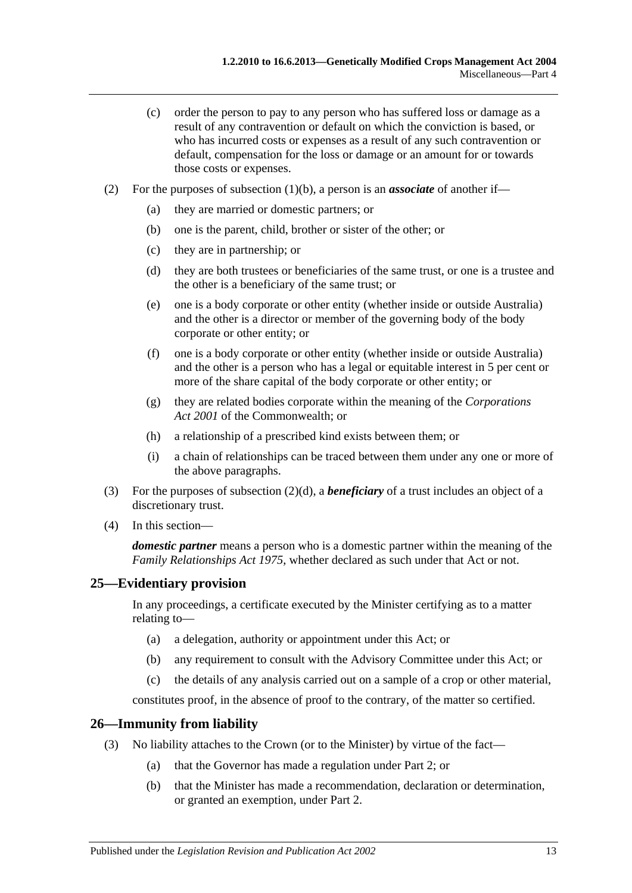- (c) order the person to pay to any person who has suffered loss or damage as a result of any contravention or default on which the conviction is based, or who has incurred costs or expenses as a result of any such contravention or default, compensation for the loss or damage or an amount for or towards those costs or expenses.
- <span id="page-12-2"></span>(2) For the purposes of [subsection](#page-11-3) (1)(b), a person is an *associate* of another if—
	- (a) they are married or domestic partners; or
	- (b) one is the parent, child, brother or sister of the other; or
	- (c) they are in partnership; or
	- (d) they are both trustees or beneficiaries of the same trust, or one is a trustee and the other is a beneficiary of the same trust; or
	- (e) one is a body corporate or other entity (whether inside or outside Australia) and the other is a director or member of the governing body of the body corporate or other entity; or
	- (f) one is a body corporate or other entity (whether inside or outside Australia) and the other is a person who has a legal or equitable interest in 5 per cent or more of the share capital of the body corporate or other entity; or
	- (g) they are related bodies corporate within the meaning of the *Corporations Act 2001* of the Commonwealth; or
	- (h) a relationship of a prescribed kind exists between them; or
	- (i) a chain of relationships can be traced between them under any one or more of the above paragraphs.
- (3) For the purposes of [subsection](#page-12-2) (2)(d), a *beneficiary* of a trust includes an object of a discretionary trust.
- (4) In this section—

*domestic partner* means a person who is a domestic partner within the meaning of the *[Family Relationships Act](http://www.legislation.sa.gov.au/index.aspx?action=legref&type=act&legtitle=Family%20Relationships%20Act%201975) 1975*, whether declared as such under that Act or not.

## <span id="page-12-0"></span>**25—Evidentiary provision**

In any proceedings, a certificate executed by the Minister certifying as to a matter relating to—

- (a) a delegation, authority or appointment under this Act; or
- (b) any requirement to consult with the Advisory Committee under this Act; or
- (c) the details of any analysis carried out on a sample of a crop or other material,

constitutes proof, in the absence of proof to the contrary, of the matter so certified.

#### <span id="page-12-1"></span>**26—Immunity from liability**

- (3) No liability attaches to the Crown (or to the Minister) by virtue of the fact—
	- (a) that the Governor has made a regulation under [Part 2;](#page-3-1) or
	- (b) that the Minister has made a recommendation, declaration or determination, or granted an exemption, under [Part 2.](#page-3-1)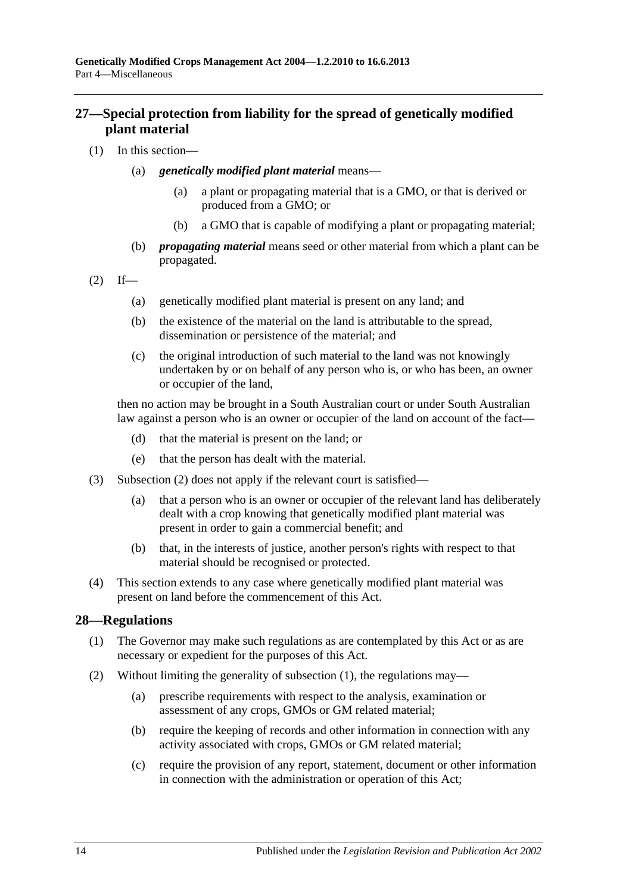## <span id="page-13-0"></span>**27—Special protection from liability for the spread of genetically modified plant material**

- (1) In this section—
	- (a) *genetically modified plant material* means—
		- (a) a plant or propagating material that is a GMO, or that is derived or produced from a GMO; or
		- (b) a GMO that is capable of modifying a plant or propagating material;
	- (b) *propagating material* means seed or other material from which a plant can be propagated.

<span id="page-13-2"></span>
$$
(2) \quad \text{If} \quad -
$$

- (a) genetically modified plant material is present on any land; and
- (b) the existence of the material on the land is attributable to the spread, dissemination or persistence of the material; and
- (c) the original introduction of such material to the land was not knowingly undertaken by or on behalf of any person who is, or who has been, an owner or occupier of the land,

then no action may be brought in a South Australian court or under South Australian law against a person who is an owner or occupier of the land on account of the fact—

- (d) that the material is present on the land; or
- (e) that the person has dealt with the material.
- (3) [Subsection](#page-13-2) (2) does not apply if the relevant court is satisfied—
	- (a) that a person who is an owner or occupier of the relevant land has deliberately dealt with a crop knowing that genetically modified plant material was present in order to gain a commercial benefit; and
	- (b) that, in the interests of justice, another person's rights with respect to that material should be recognised or protected.
- (4) This section extends to any case where genetically modified plant material was present on land before the commencement of this Act.

#### <span id="page-13-3"></span><span id="page-13-1"></span>**28—Regulations**

- (1) The Governor may make such regulations as are contemplated by this Act or as are necessary or expedient for the purposes of this Act.
- (2) Without limiting the generality of [subsection](#page-13-3) (1), the regulations may—
	- (a) prescribe requirements with respect to the analysis, examination or assessment of any crops, GMOs or GM related material;
	- (b) require the keeping of records and other information in connection with any activity associated with crops, GMOs or GM related material;
	- (c) require the provision of any report, statement, document or other information in connection with the administration or operation of this Act;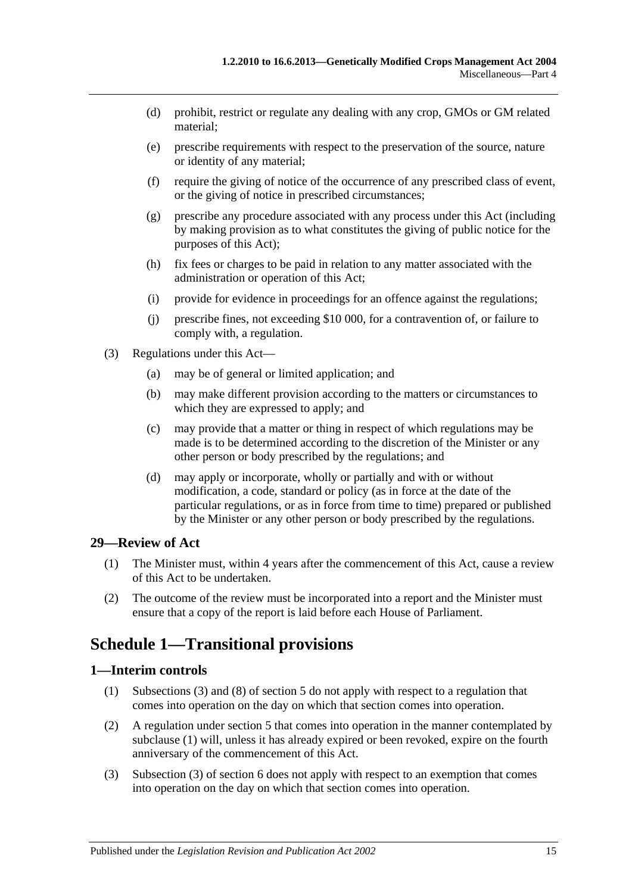- (d) prohibit, restrict or regulate any dealing with any crop, GMOs or GM related material;
- (e) prescribe requirements with respect to the preservation of the source, nature or identity of any material;
- (f) require the giving of notice of the occurrence of any prescribed class of event, or the giving of notice in prescribed circumstances;
- (g) prescribe any procedure associated with any process under this Act (including by making provision as to what constitutes the giving of public notice for the purposes of this Act);
- (h) fix fees or charges to be paid in relation to any matter associated with the administration or operation of this Act;
- (i) provide for evidence in proceedings for an offence against the regulations;
- (j) prescribe fines, not exceeding \$10 000, for a contravention of, or failure to comply with, a regulation.
- (3) Regulations under this Act—
	- (a) may be of general or limited application; and
	- (b) may make different provision according to the matters or circumstances to which they are expressed to apply; and
	- (c) may provide that a matter or thing in respect of which regulations may be made is to be determined according to the discretion of the Minister or any other person or body prescribed by the regulations; and
	- (d) may apply or incorporate, wholly or partially and with or without modification, a code, standard or policy (as in force at the date of the particular regulations, or as in force from time to time) prepared or published by the Minister or any other person or body prescribed by the regulations.

#### <span id="page-14-0"></span>**29—Review of Act**

- (1) The Minister must, within 4 years after the commencement of this Act, cause a review of this Act to be undertaken.
- (2) The outcome of the review must be incorporated into a report and the Minister must ensure that a copy of the report is laid before each House of Parliament.

# <span id="page-14-1"></span>**Schedule 1—Transitional provisions**

#### <span id="page-14-3"></span><span id="page-14-2"></span>**1—Interim controls**

- (1) [Subsections](#page-3-8) (3) and (8) of [section](#page-3-2) 5 do not apply with respect to a regulation that comes into operation on the day on which that section comes into operation.
- (2) A regulation under [section](#page-3-2) 5 that comes into operation in the manner contemplated by [subclause](#page-14-3) (1) will, unless it has already expired or been revoked, expire on the fourth anniversary of the commencement of this Act.
- (3) Subsection (3) of section 6 does not apply with respect to an exemption that comes into operation on the day on which that section comes into operation.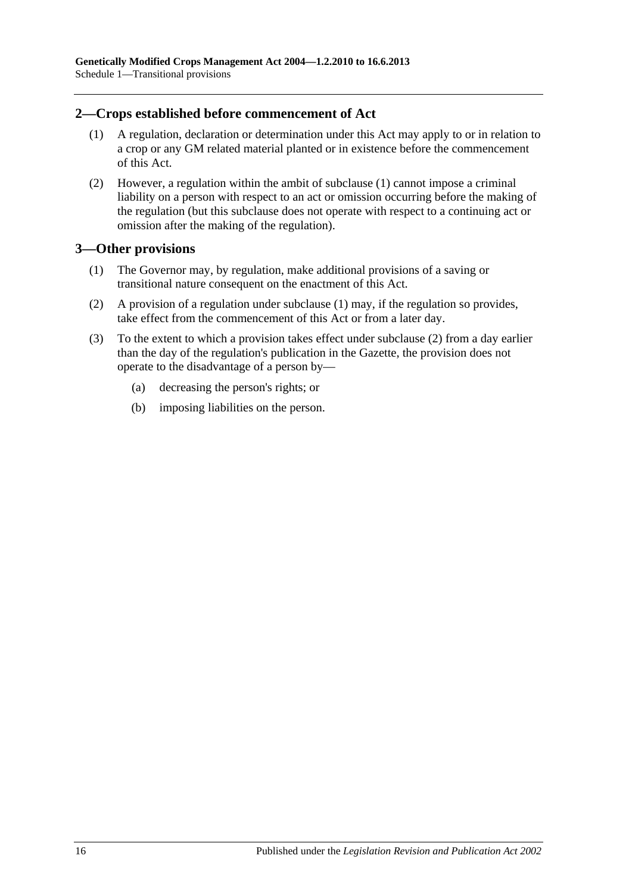#### <span id="page-15-2"></span><span id="page-15-0"></span>**2—Crops established before commencement of Act**

- (1) A regulation, declaration or determination under this Act may apply to or in relation to a crop or any GM related material planted or in existence before the commencement of this Act.
- (2) However, a regulation within the ambit of [subclause](#page-15-2) (1) cannot impose a criminal liability on a person with respect to an act or omission occurring before the making of the regulation (but this subclause does not operate with respect to a continuing act or omission after the making of the regulation).

#### <span id="page-15-3"></span><span id="page-15-1"></span>**3—Other provisions**

- (1) The Governor may, by regulation, make additional provisions of a saving or transitional nature consequent on the enactment of this Act.
- <span id="page-15-4"></span>(2) A provision of a regulation under [subclause](#page-15-3) (1) may, if the regulation so provides, take effect from the commencement of this Act or from a later day.
- (3) To the extent to which a provision takes effect under [subclause](#page-15-4) (2) from a day earlier than the day of the regulation's publication in the Gazette, the provision does not operate to the disadvantage of a person by—
	- (a) decreasing the person's rights; or
	- (b) imposing liabilities on the person.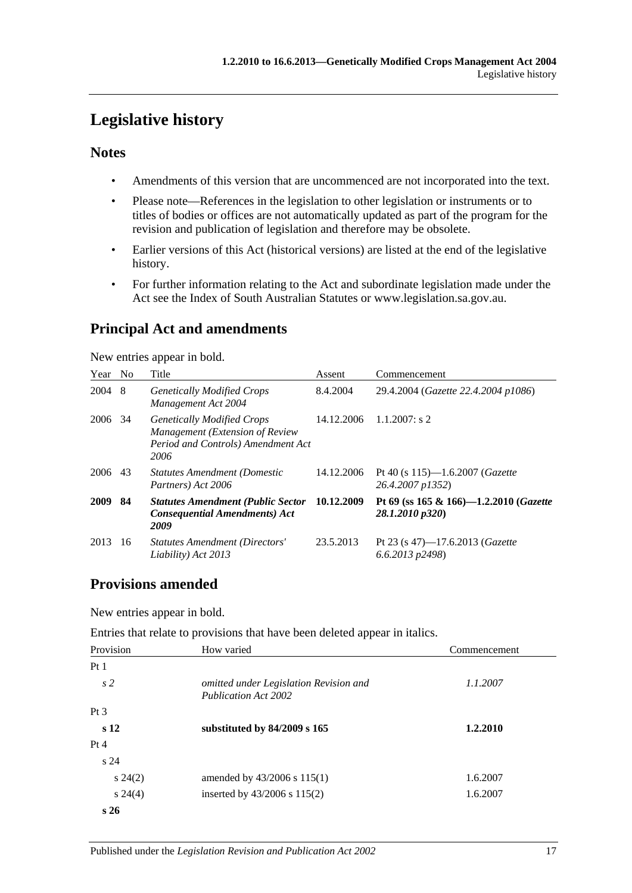# <span id="page-16-0"></span>**Legislative history**

### **Notes**

- Amendments of this version that are uncommenced are not incorporated into the text.
- Please note—References in the legislation to other legislation or instruments or to titles of bodies or offices are not automatically updated as part of the program for the revision and publication of legislation and therefore may be obsolete.
- Earlier versions of this Act (historical versions) are listed at the end of the legislative history.
- For further information relating to the Act and subordinate legislation made under the Act see the Index of South Australian Statutes or www.legislation.sa.gov.au.

# **Principal Act and amendments**

New entries appear in bold.

| Year | N <sub>0</sub> | Title                                                                                                              | Assent     | Commencement                                                          |
|------|----------------|--------------------------------------------------------------------------------------------------------------------|------------|-----------------------------------------------------------------------|
| 2004 | -8             | <b>Genetically Modified Crops</b><br>Management Act 2004                                                           | 8.4.2004   | 29.4.2004 (Gazette 22.4.2004 p1086)                                   |
| 2006 | 34             | <b>Genetically Modified Crops</b><br>Management (Extension of Review<br>Period and Controls) Amendment Act<br>2006 | 14.12.2006 | $1.1.2007$ : s 2                                                      |
| 2006 | 43             | <b>Statutes Amendment (Domestic</b><br>Partners) Act 2006                                                          | 14.12.2006 | Pt 40 (s $115$ )-1.6.2007 ( <i>Gazette</i><br>26.4.2007 p1352)        |
| 2009 | -84            | <b>Statutes Amendment (Public Sector</b><br><b>Consequential Amendments) Act</b><br>2009                           | 10.12.2009 | Pt 69 (ss 165 & 166)-1.2.2010 (Gazette<br>28.1.2010 p320)             |
| 2013 | 16             | Statutes Amendment (Directors'<br>Liability) Act 2013                                                              | 23.5.2013  | Pt 23 (s 47)-17.6.2013 ( <i>Gazette</i><br>$(6.6.2013 \text{ p}2498)$ |

# **Provisions amended**

New entries appear in bold.

| Entries that relate to provisions that have been deleted appear in italics. |  |  |  |
|-----------------------------------------------------------------------------|--|--|--|
|-----------------------------------------------------------------------------|--|--|--|

| Provision       | How varied                                                            | Commencement |
|-----------------|-----------------------------------------------------------------------|--------------|
| Pt1             |                                                                       |              |
| s <sub>2</sub>  | omitted under Legislation Revision and<br><b>Publication Act 2002</b> | 1.1.2007     |
| Pt <sub>3</sub> |                                                                       |              |
| s <sub>12</sub> | substituted by $84/2009$ s $165$                                      | 1.2.2010     |
| Pt 4            |                                                                       |              |
| s <sub>24</sub> |                                                                       |              |
| $s\,24(2)$      | amended by $43/2006$ s $115(1)$                                       | 1.6.2007     |
| $s\,24(4)$      | inserted by 43/2006 s 115(2)                                          | 1.6.2007     |
| s26             |                                                                       |              |